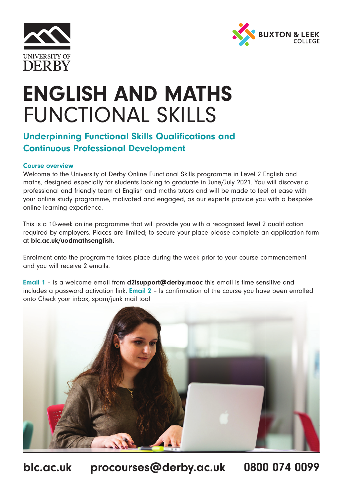



# ENGLISH AND MATHS FUNCTIONAL SKILLS

## Underpinning Functional Skills Qualifications and Continuous Professional Development

#### Course overview

Welcome to the University of Derby Online Functional Skills programme in Level 2 English and maths, designed especially for students looking to graduate in June/July 2021. You will discover a professional and friendly team of English and maths tutors and will be made to feel at ease with your online study programme, motivated and engaged, as our experts provide you with a bespoke online learning experience.

This is a 10-week online programme that will provide you with a recognised level 2 qualification required by employers. Places are limited; to secure your place please complete an application form at blc.ac.uk/uodmathsenglish.

Enrolment onto the programme takes place during the week prior to your course commencement and you will receive 2 emails.

Email 1 – Is a welcome email from d2lsupport@derby.mooc this email is time sensitive and includes a password activation link. Email 2 – Is confirmation of the course you have been enrolled onto Check your inbox, spam/junk mail too!



blc.ac.uk procourses@derby.ac.uk 0800 074 0099